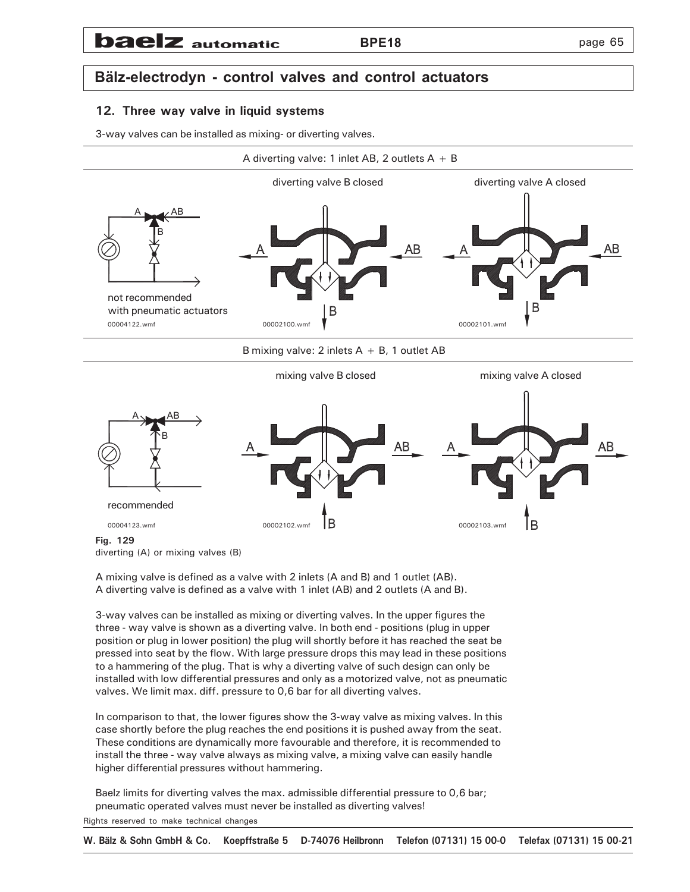## **baelz** automatic

## **Bälz-electrodyn - control valves and control actuators**

## **12. Three way valve in liquid systems**

3-way valves can be installed as mixing- or diverting valves.



**Fig. 129**

diverting (A) or mixing valves (B)

A mixing valve is defined as a valve with 2 inlets (A and B) and 1 outlet (AB). A diverting valve is defined as a valve with 1 inlet (AB) and 2 outlets (A and B).

3-way valves can be installed as mixing or diverting valves. In the upper figures the three - way valve is shown as a diverting valve. In both end - positions (plug in upper position or plug in lower position) the plug will shortly before it has reached the seat be pressed into seat by the flow. With large pressure drops this may lead in these positions to a hammering of the plug. That is why a diverting valve of such design can only be installed with low differential pressures and only as a motorized valve, not as pneumatic valves. We limit max. diff. pressure to 0,6 bar for all diverting valves.

In comparison to that, the lower figures show the 3-way valve as mixing valves. In this case shortly before the plug reaches the end positions it is pushed away from the seat. These conditions are dynamically more favourable and therefore, it is recommended to install the three - way valve always as mixing valve, a mixing valve can easily handle higher differential pressures without hammering.

Baelz limits for diverting valves the max. admissible differential pressure to 0,6 bar; pneumatic operated valves must never be installed as diverting valves!

Rights reserved to make technical changes

**W. Bälz & Sohn GmbH & Co. Koepffstraße 5 D-74076 Heilbronn Telefon (07131) 15 00-0 Telefax (07131) 15 00-21**